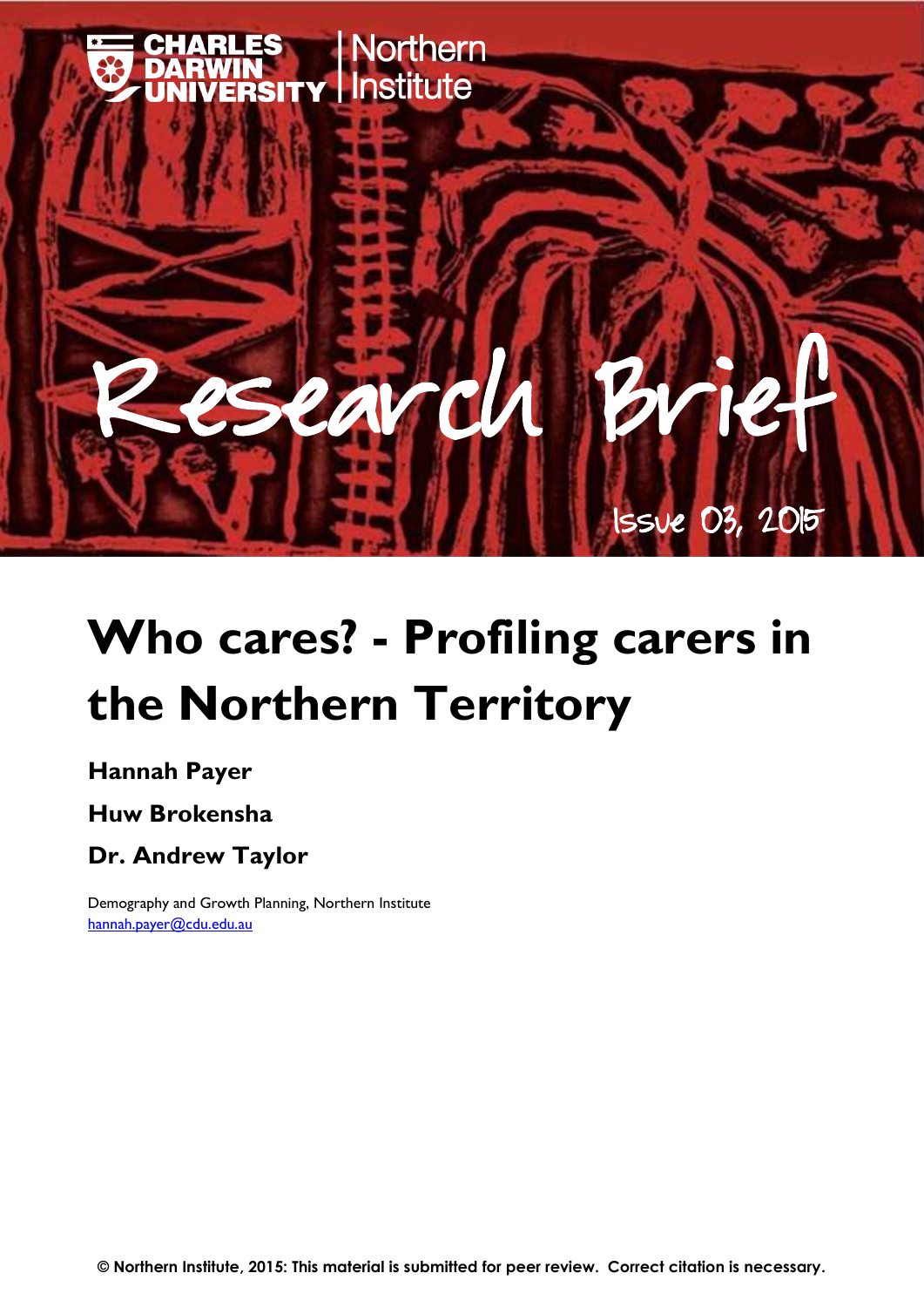

# **Who cares? - Profiling carers in the Northern Territory**

#### **Hannah Payer**

#### **Huw Brokensha**

### **Dr. Andrew Taylor**

Demography and Growth Planning, Northern Institute [hannah.payer@cdu.edu.au](mailto:hannah.payer@cdu.edu.au)

**© Northern Institute, 2015: This material is submitted for peer review. Correct citation is necessary.**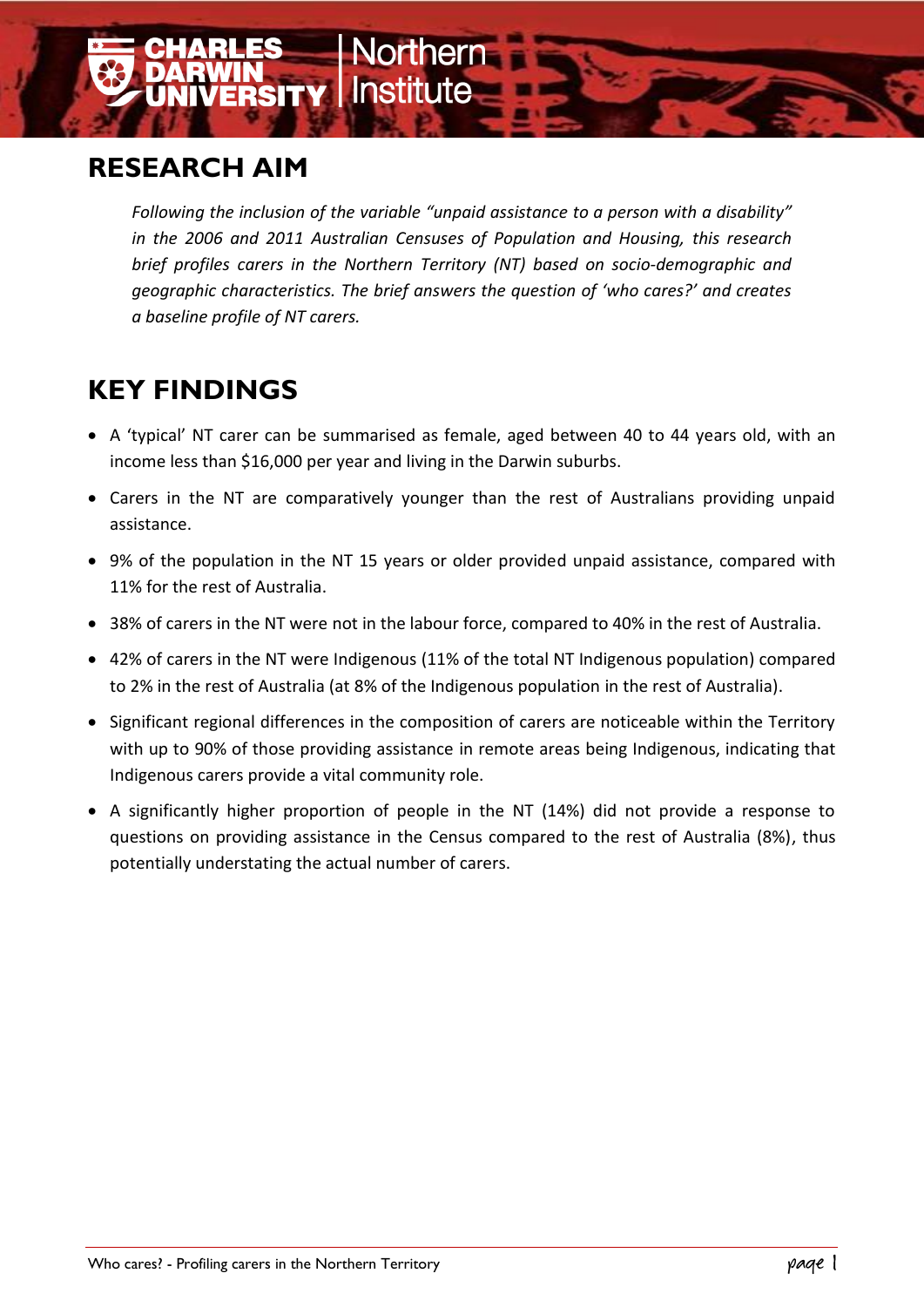## **RESEARCH AIM**

*Following the inclusion of the variable "unpaid assistance to a person with a disability" in the 2006 and 2011 Australian Censuses of Population and Housing, this research brief profiles carers in the Northern Territory (NT) based on socio-demographic and geographic characteristics. The brief answers the question of 'who cares?' and creates a baseline profile of NT carers.* 

**RSITY | Institute** 

# **KEY FINDINGS**

- A 'typical' NT carer can be summarised as female, aged between 40 to 44 years old, with an income less than \$16,000 per year and living in the Darwin suburbs.
- Carers in the NT are comparatively younger than the rest of Australians providing unpaid assistance.
- 9% of the population in the NT 15 years or older provided unpaid assistance, compared with 11% for the rest of Australia.
- 38% of carers in the NT were not in the labour force, compared to 40% in the rest of Australia.
- 42% of carers in the NT were Indigenous (11% of the total NT Indigenous population) compared to 2% in the rest of Australia (at 8% of the Indigenous population in the rest of Australia).
- Significant regional differences in the composition of carers are noticeable within the Territory with up to 90% of those providing assistance in remote areas being Indigenous, indicating that Indigenous carers provide a vital community role.
- A significantly higher proportion of people in the NT (14%) did not provide a response to questions on providing assistance in the Census compared to the rest of Australia (8%), thus potentially understating the actual number of carers.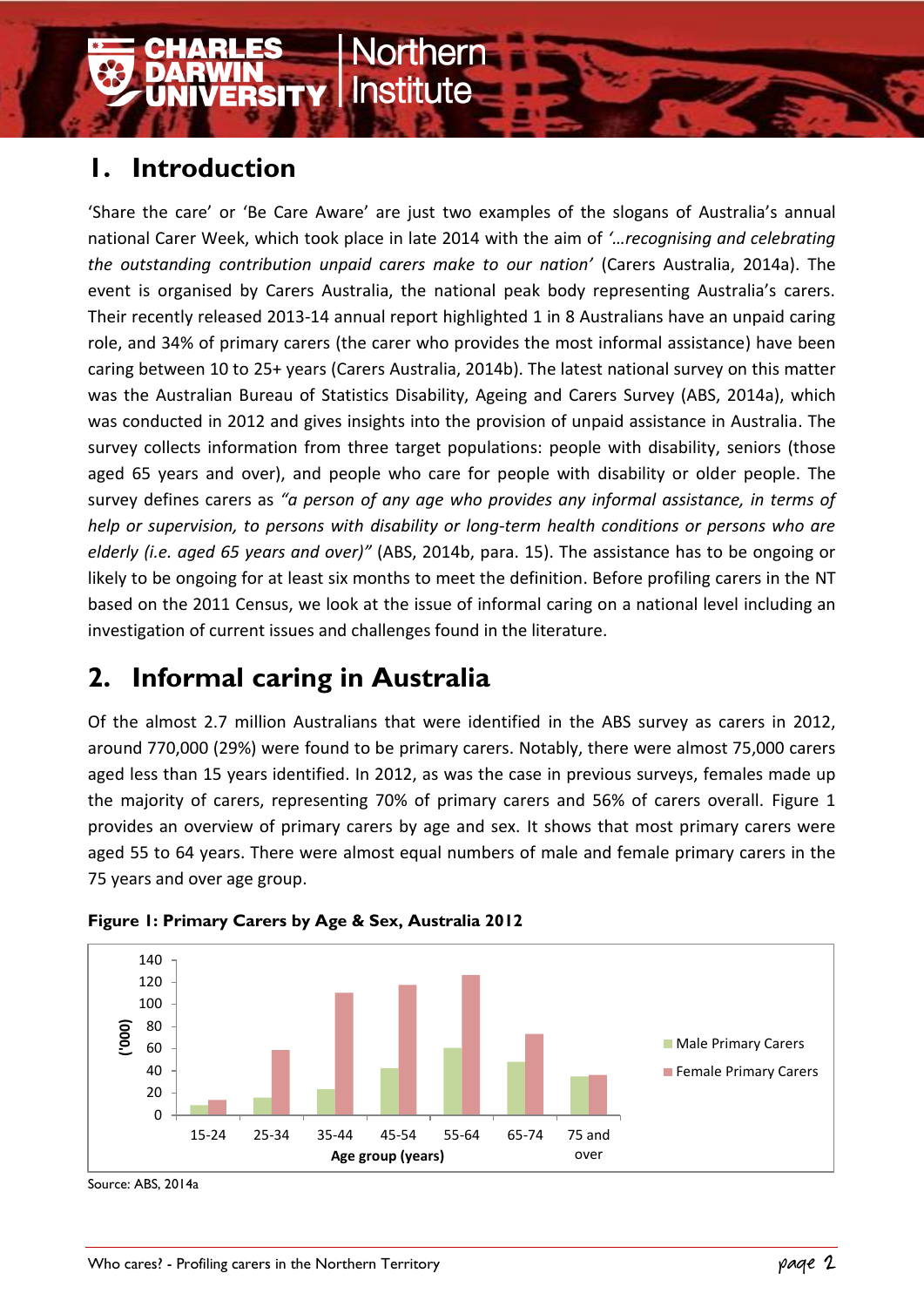# **1. Introduction**

'Share the care' or 'Be Care Aware' are just two examples of the slogans of Australia's annual national Carer Week, which took place in late 2014 with the aim of *'…recognising and celebrating the outstanding contribution unpaid carers make to our nation'* (Carers Australia, 2014a). The event is organised by Carers Australia, the national peak body representing Australia's carers. Their recently released 2013-14 annual report highlighted 1 in 8 Australians have an unpaid caring role, and 34% of primary carers (the carer who provides the most informal assistance) have been caring between 10 to 25+ years (Carers Australia, 2014b). The latest national survey on this matter was the Australian Bureau of Statistics Disability, Ageing and Carers Survey (ABS, 2014a), which was conducted in 2012 and gives insights into the provision of unpaid assistance in Australia. The survey collects information from three target populations: people with disability, seniors (those aged 65 years and over), and people who care for people with disability or older people. The survey defines carers as *"a person of any age who provides any informal assistance, in terms of help or supervision, to persons with disability or long-term health conditions or persons who are elderly (i.e. aged 65 years and over)"* (ABS, 2014b, para. 15). The assistance has to be ongoing or likely to be ongoing for at least six months to meet the definition. Before profiling carers in the NT based on the 2011 Census, we look at the issue of informal caring on a national level including an investigation of current issues and challenges found in the literature.

# **2. Informal caring in Australia**

Of the almost 2.7 million Australians that were identified in the ABS survey as carers in 2012, around 770,000 (29%) were found to be primary carers. Notably, there were almost 75,000 carers aged less than 15 years identified. In 2012, as was the case in previous surveys, females made up the majority of carers, representing 70% of primary carers and 56% of carers overall. Figure 1 provides an overview of primary carers by age and sex. It shows that most primary carers were aged 55 to 64 years. There were almost equal numbers of male and female primary carers in the 75 years and over age group.





Source: ABS, 2014a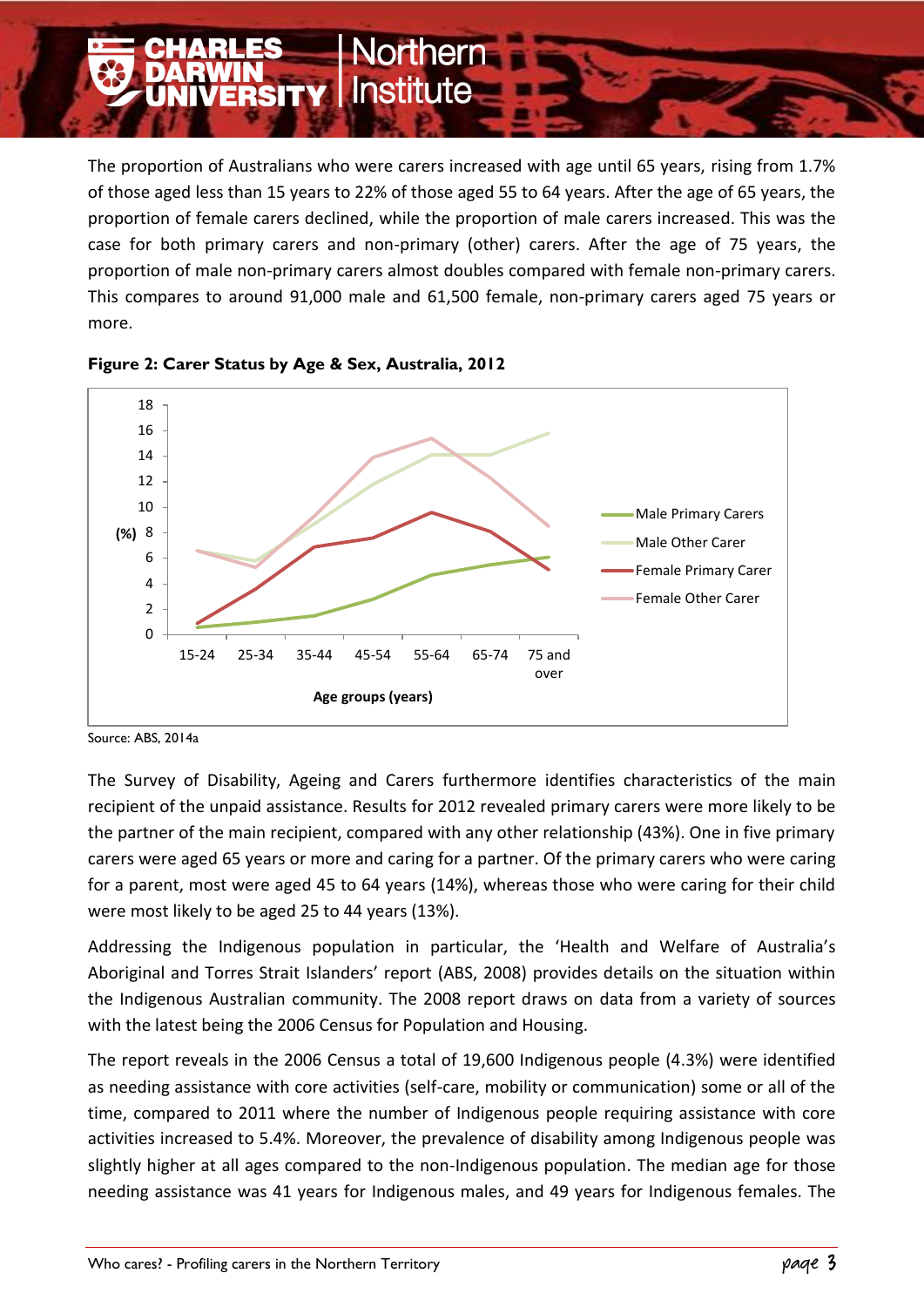The proportion of Australians who were carers increased with age until 65 years, rising from 1.7% of those aged less than 15 years to 22% of those aged 55 to 64 years. After the age of 65 years, the proportion of female carers declined, while the proportion of male carers increased. This was the case for both primary carers and non-primary (other) carers. After the age of 75 years, the proportion of male non-primary carers almost doubles compared with female non-primary carers. This compares to around 91,000 male and 61,500 female, non-primary carers aged 75 years or more.

**orthern** 

**ERSITY | Institute** 





The Survey of Disability, Ageing and Carers furthermore identifies characteristics of the main recipient of the unpaid assistance. Results for 2012 revealed primary carers were more likely to be the partner of the main recipient, compared with any other relationship (43%). One in five primary carers were aged 65 years or more and caring for a partner. Of the primary carers who were caring for a parent, most were aged 45 to 64 years (14%), whereas those who were caring for their child were most likely to be aged 25 to 44 years (13%).

Addressing the Indigenous population in particular, the 'Health and Welfare of Australia's Aboriginal and Torres Strait Islanders' report (ABS, 2008) provides details on the situation within the Indigenous Australian community. The 2008 report draws on data from a variety of sources with the latest being the 2006 Census for Population and Housing.

The report reveals in the 2006 Census a total of 19,600 Indigenous people (4.3%) were identified as needing assistance with core activities (self-care, mobility or communication) some or all of the time, compared to 2011 where the number of Indigenous people requiring assistance with core activities increased to 5.4%. Moreover, the prevalence of disability among Indigenous people was slightly higher at all ages compared to the non-Indigenous population. The median age for those needing assistance was 41 years for Indigenous males, and 49 years for Indigenous females. The

Source: ABS, 2014a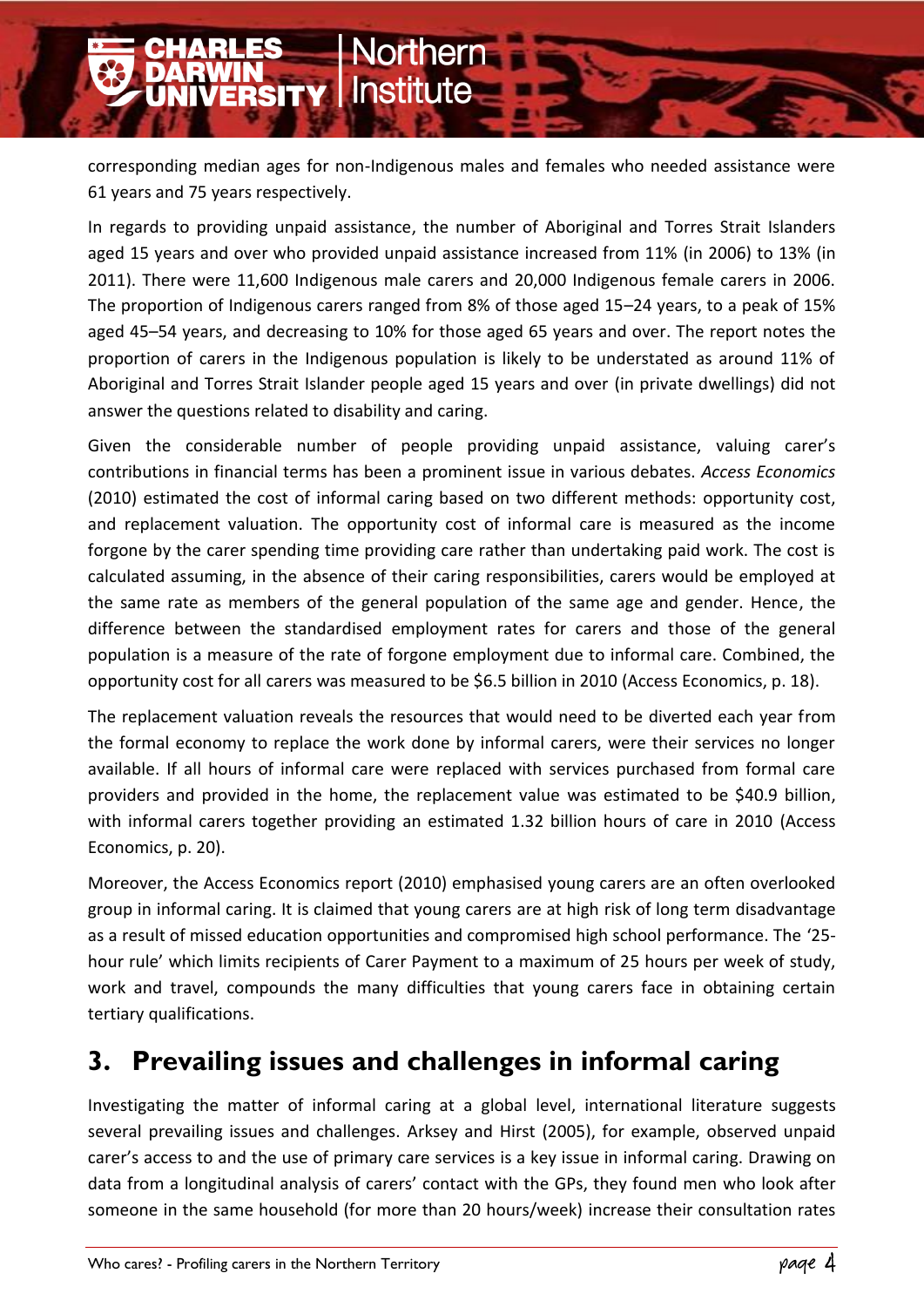corresponding median ages for non-Indigenous males and females who needed assistance were 61 years and 75 years respectively.

**Northern** 

**NIVERSITY | Institute** 

In regards to providing unpaid assistance, the number of Aboriginal and Torres Strait Islanders aged 15 years and over who provided unpaid assistance increased from 11% (in 2006) to 13% (in 2011). There were 11,600 Indigenous male carers and 20,000 Indigenous female carers in 2006. The proportion of Indigenous carers ranged from 8% of those aged 15–24 years, to a peak of 15% aged 45–54 years, and decreasing to 10% for those aged 65 years and over. The report notes the proportion of carers in the Indigenous population is likely to be understated as around 11% of Aboriginal and Torres Strait Islander people aged 15 years and over (in private dwellings) did not answer the questions related to disability and caring.

Given the considerable number of people providing unpaid assistance, valuing carer's contributions in financial terms has been a prominent issue in various debates. *Access Economics* (2010) estimated the cost of informal caring based on two different methods: opportunity cost, and replacement valuation. The opportunity cost of informal care is measured as the income forgone by the carer spending time providing care rather than undertaking paid work. The cost is calculated assuming, in the absence of their caring responsibilities, carers would be employed at the same rate as members of the general population of the same age and gender. Hence, the difference between the standardised employment rates for carers and those of the general population is a measure of the rate of forgone employment due to informal care. Combined, the opportunity cost for all carers was measured to be \$6.5 billion in 2010 (Access Economics, p. 18).

The replacement valuation reveals the resources that would need to be diverted each year from the formal economy to replace the work done by informal carers, were their services no longer available. If all hours of informal care were replaced with services purchased from formal care providers and provided in the home, the replacement value was estimated to be \$40.9 billion, with informal carers together providing an estimated 1.32 billion hours of care in 2010 (Access Economics, p. 20).

Moreover, the Access Economics report (2010) emphasised young carers are an often overlooked group in informal caring. It is claimed that young carers are at high risk of long term disadvantage as a result of missed education opportunities and compromised high school performance. The '25‐ hour rule' which limits recipients of Carer Payment to a maximum of 25 hours per week of study, work and travel, compounds the many difficulties that young carers face in obtaining certain tertiary qualifications.

## **3. Prevailing issues and challenges in informal caring**

Investigating the matter of informal caring at a global level, international literature suggests several prevailing issues and challenges. Arksey and Hirst (2005), for example, observed unpaid carer's access to and the use of primary care services is a key issue in informal caring. Drawing on data from a longitudinal analysis of carers' contact with the GPs, they found men who look after someone in the same household (for more than 20 hours/week) increase their consultation rates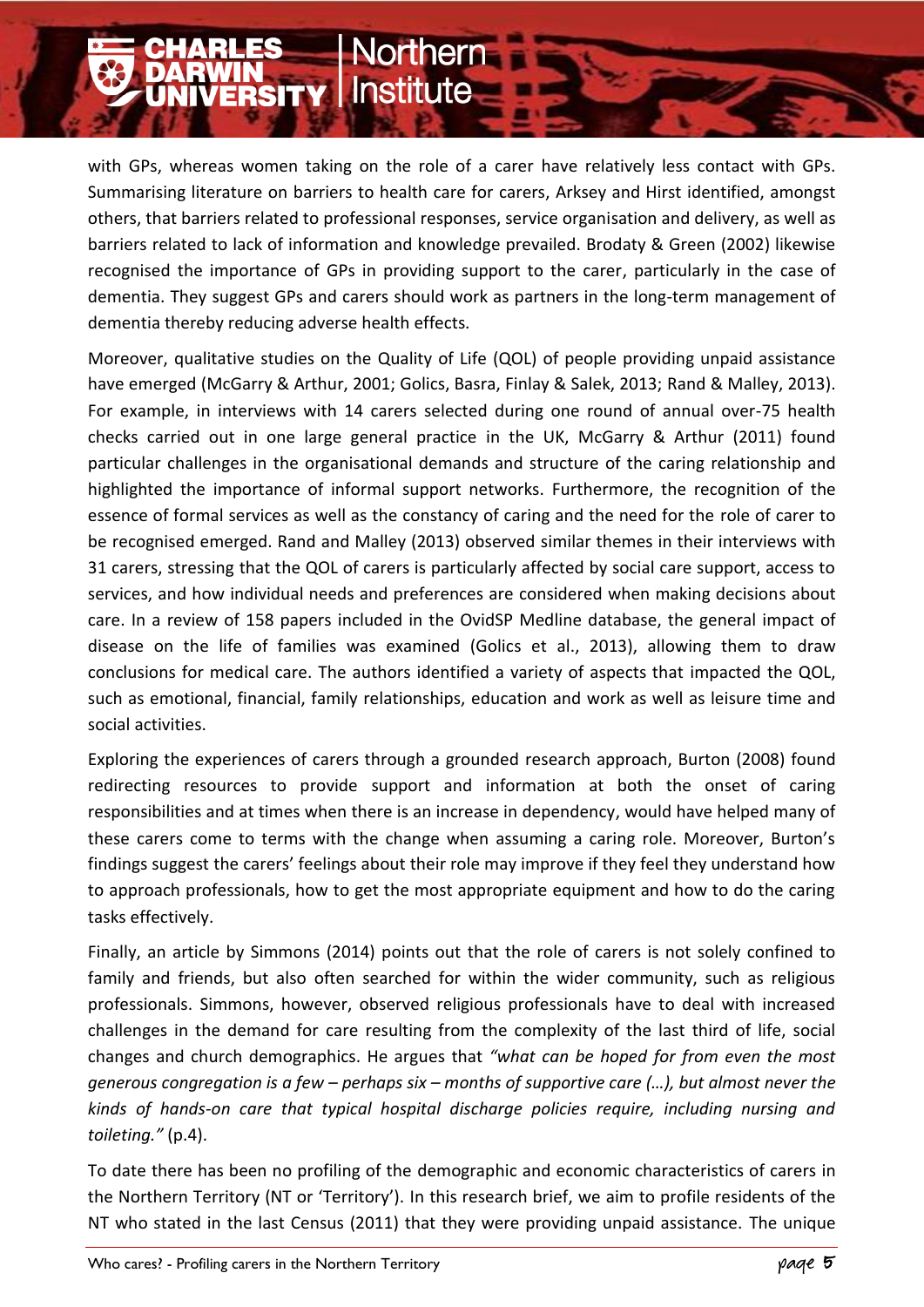with GPs, whereas women taking on the role of a carer have relatively less contact with GPs. Summarising literature on barriers to health care for carers, Arksey and Hirst identified, amongst others, that barriers related to professional responses, service organisation and delivery, as well as barriers related to lack of information and knowledge prevailed. Brodaty & Green (2002) likewise recognised the importance of GPs in providing support to the carer, particularly in the case of dementia. They suggest GPs and carers should work as partners in the long-term management of dementia thereby reducing adverse health effects.

**Northern** 

**NYINSITY Institute** 

Moreover, qualitative studies on the Quality of Life (QOL) of people providing unpaid assistance have emerged (McGarry & Arthur, 2001; Golics, Basra, Finlay & Salek, 2013; Rand & Malley, 2013). For example, in interviews with 14 carers selected during one round of annual over-75 health checks carried out in one large general practice in the UK, McGarry & Arthur (2011) found particular challenges in the organisational demands and structure of the caring relationship and highlighted the importance of informal support networks. Furthermore, the recognition of the essence of formal services as well as the constancy of caring and the need for the role of carer to be recognised emerged. Rand and Malley (2013) observed similar themes in their interviews with 31 carers, stressing that the QOL of carers is particularly affected by social care support, access to services, and how individual needs and preferences are considered when making decisions about care. In a review of 158 papers included in the OvidSP Medline database, the general impact of disease on the life of families was examined (Golics et al., 2013), allowing them to draw conclusions for medical care. The authors identified a variety of aspects that impacted the QOL, such as emotional, financial, family relationships, education and work as well as leisure time and social activities.

Exploring the experiences of carers through a grounded research approach, Burton (2008) found redirecting resources to provide support and information at both the onset of caring responsibilities and at times when there is an increase in dependency, would have helped many of these carers come to terms with the change when assuming a caring role. Moreover, Burton's findings suggest the carers' feelings about their role may improve if they feel they understand how to approach professionals, how to get the most appropriate equipment and how to do the caring tasks effectively.

Finally, an article by Simmons (2014) points out that the role of carers is not solely confined to family and friends, but also often searched for within the wider community, such as religious professionals. Simmons, however, observed religious professionals have to deal with increased challenges in the demand for care resulting from the complexity of the last third of life, social changes and church demographics. He argues that *"what can be hoped for from even the most generous congregation is a few – perhaps six – months of supportive care (…), but almost never the kinds of hands-on care that typical hospital discharge policies require, including nursing and toileting."* (p.4).

To date there has been no profiling of the demographic and economic characteristics of carers in the Northern Territory (NT or 'Territory'). In this research brief, we aim to profile residents of the NT who stated in the last Census (2011) that they were providing unpaid assistance. The unique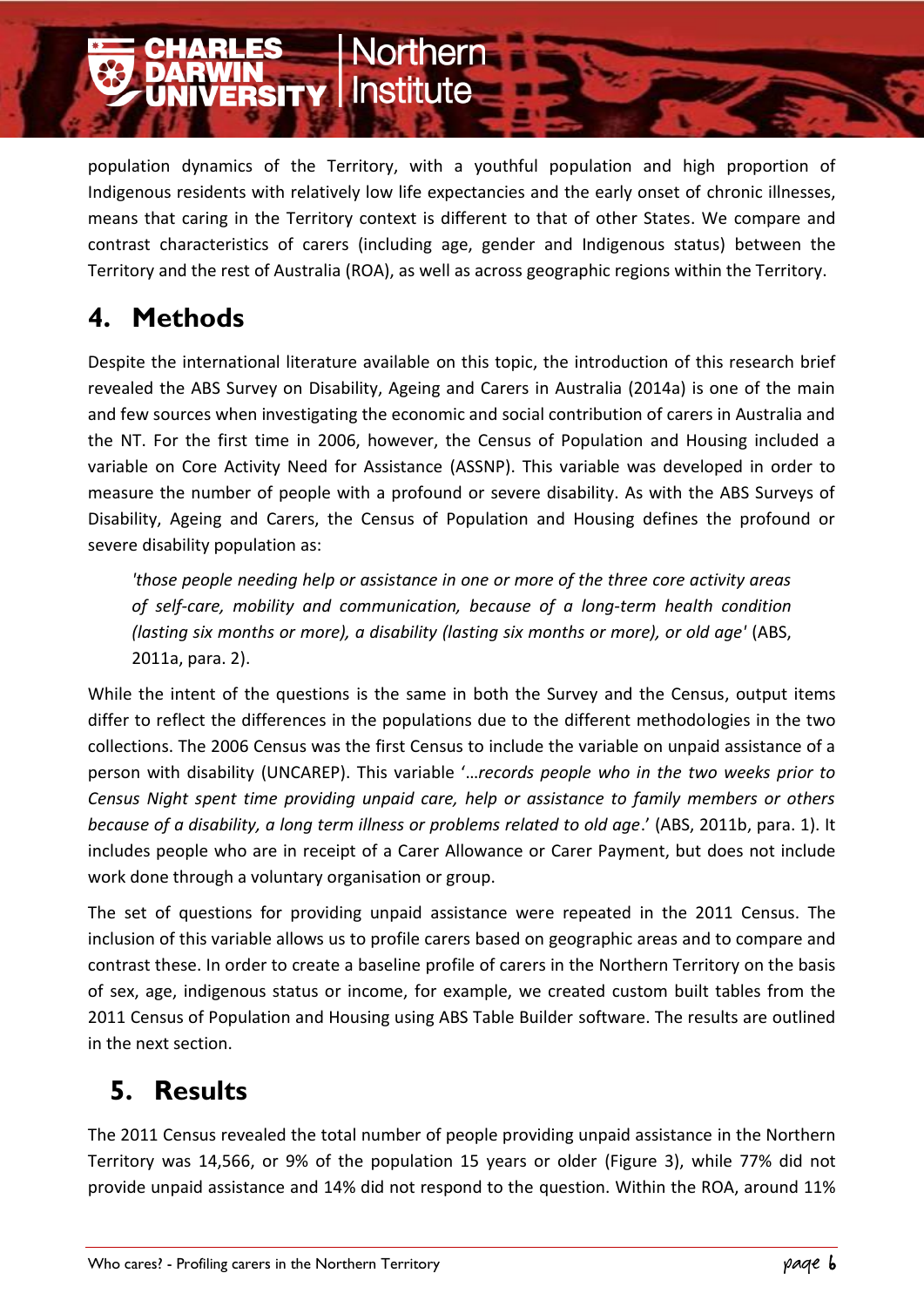population dynamics of the Territory, with a youthful population and high proportion of Indigenous residents with relatively low life expectancies and the early onset of chronic illnesses, means that caring in the Territory context is different to that of other States. We compare and contrast characteristics of carers (including age, gender and Indigenous status) between the Territory and the rest of Australia (ROA), as well as across geographic regions within the Territory.

**Vorthern** 

**NYINSITY | Institute** 

# **4. Methods**

Despite the international literature available on this topic, the introduction of this research brief revealed the ABS Survey on Disability, Ageing and Carers in Australia (2014a) is one of the main and few sources when investigating the economic and social contribution of carers in Australia and the NT. For the first time in 2006, however, the Census of Population and Housing included a variable on Core Activity Need for Assistance (ASSNP). This variable was developed in order to measure the number of people with a profound or severe disability. As with the ABS Surveys of Disability, Ageing and Carers, the Census of Population and Housing defines the profound or severe disability population as:

*'those people needing help or assistance in one or more of the three core activity areas of self-care, mobility and communication, because of a long-term health condition (lasting six months or more), a disability (lasting six months or more), or old age'* (ABS, 2011a, para. 2).

While the intent of the questions is the same in both the Survey and the Census, output items differ to reflect the differences in the populations due to the different methodologies in the two collections. The 2006 Census was the first Census to include the variable on unpaid assistance of a person with disability (UNCAREP). This variable '…*records people who in the two weeks prior to Census Night spent time providing unpaid care, help or assistance to family members or others because of a disability, a long term illness or problems related to old age*.' (ABS, 2011b, para. 1). It includes people who are in receipt of a Carer Allowance or Carer Payment, but does not include work done through a voluntary organisation or group.

The set of questions for providing unpaid assistance were repeated in the 2011 Census. The inclusion of this variable allows us to profile carers based on geographic areas and to compare and contrast these. In order to create a baseline profile of carers in the Northern Territory on the basis of sex, age, indigenous status or income, for example, we created custom built tables from the 2011 Census of Population and Housing using ABS Table Builder software. The results are outlined in the next section.

# **5. Results**

The 2011 Census revealed the total number of people providing unpaid assistance in the Northern Territory was 14,566, or 9% of the population 15 years or older (Figure 3), while 77% did not provide unpaid assistance and 14% did not respond to the question. Within the ROA, around 11%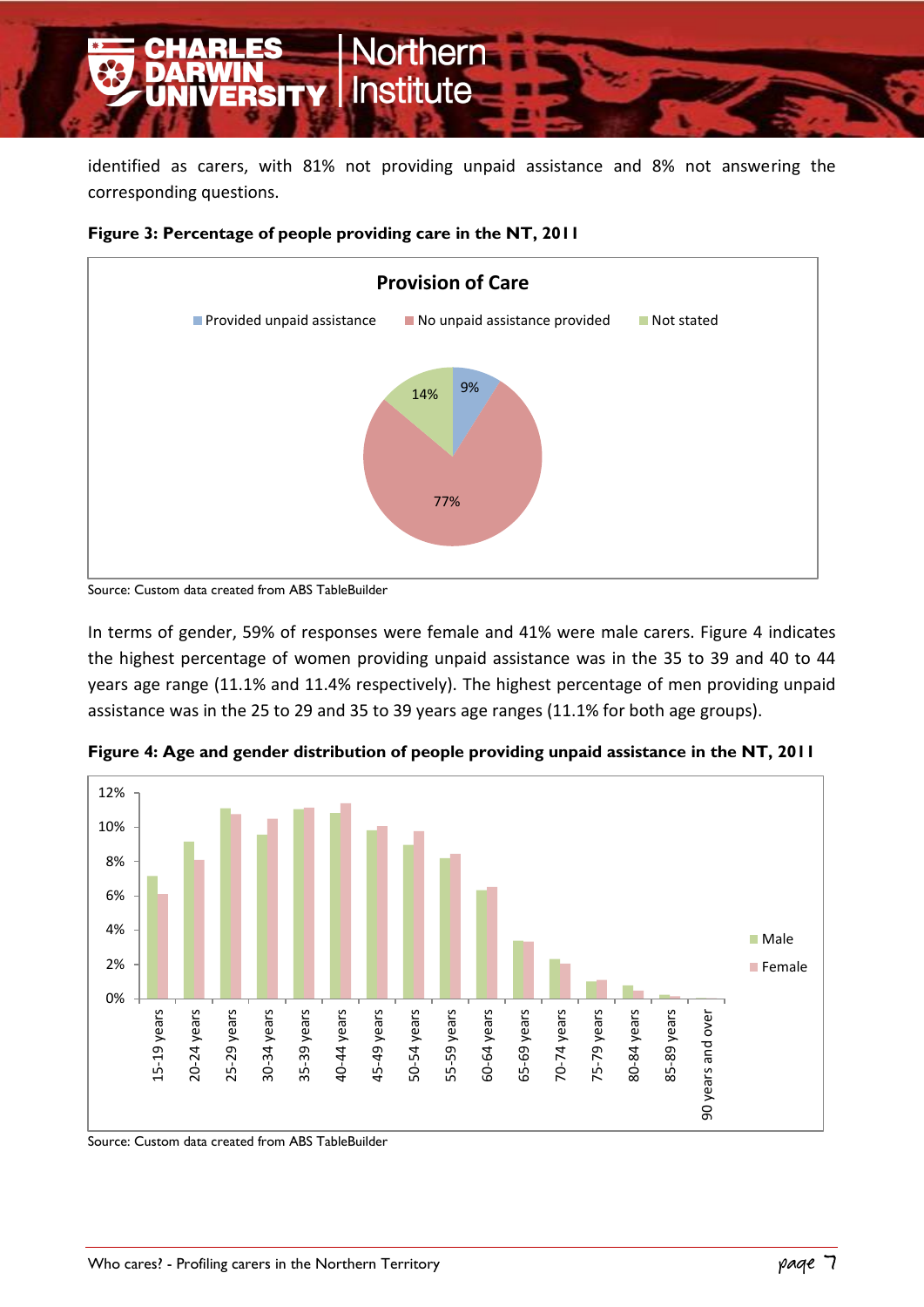identified as carers, with 81% not providing unpaid assistance and 8% not answering the corresponding questions.



#### **Figure 3: Percentage of people providing care in the NT, 2011**

In terms of gender, 59% of responses were female and 41% were male carers. Figure 4 indicates the highest percentage of women providing unpaid assistance was in the 35 to 39 and 40 to 44 years age range (11.1% and 11.4% respectively). The highest percentage of men providing unpaid assistance was in the 25 to 29 and 35 to 39 years age ranges (11.1% for both age groups).



**Figure 4: Age and gender distribution of people providing unpaid assistance in the NT, 2011**

Source: Custom data created from ABS TableBuilder

Source: Custom data created from ABS TableBuilder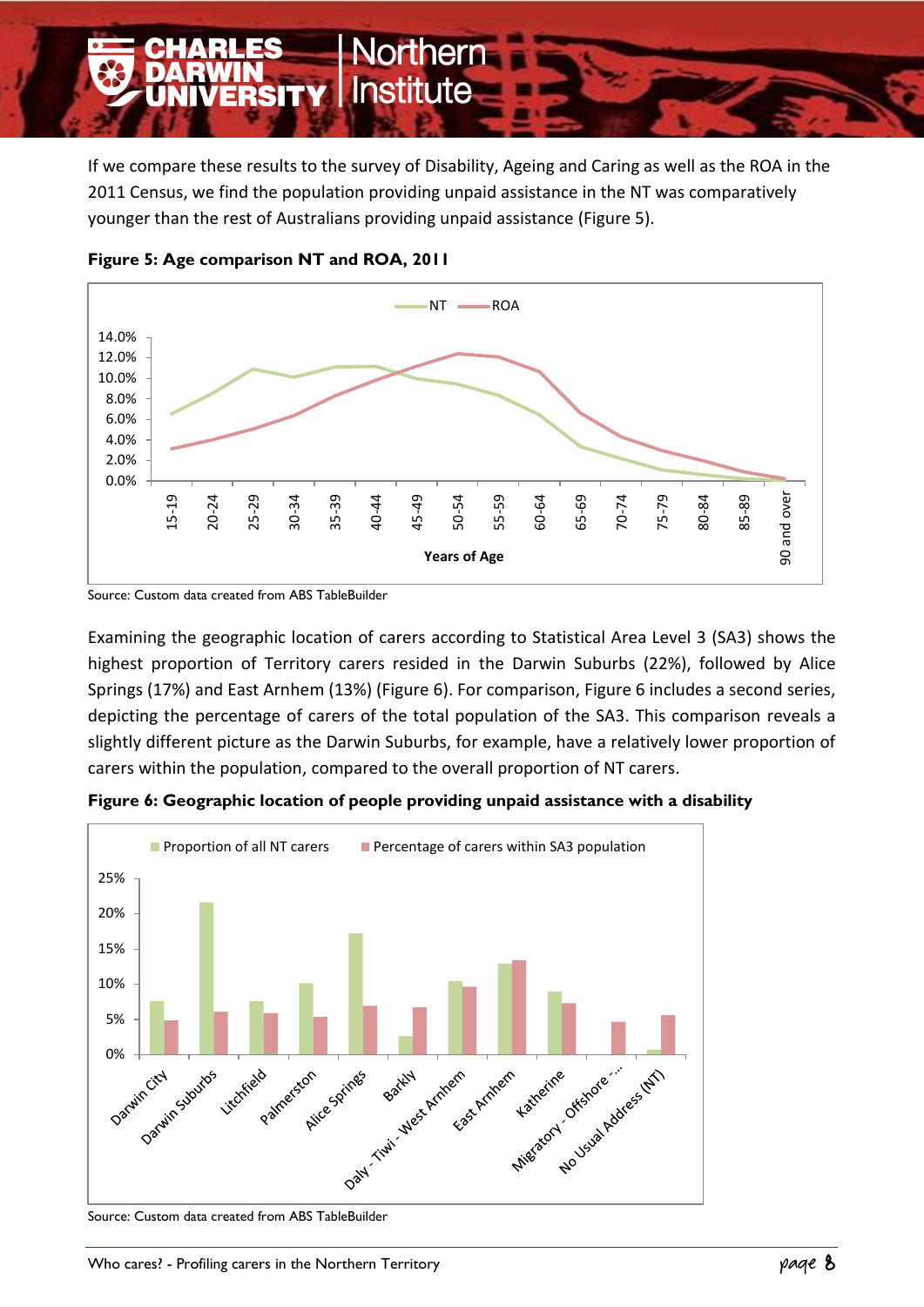

If we compare these results to the survey of Disability, Ageing and Caring as well as the ROA in the 2011 Census, we find the population providing unpaid assistance in the NT was comparatively younger than the rest of Australians providing unpaid assistance (Figure 5).



**Figure 5: Age comparison NT and ROA, 2011**

Examining the geographic location of carers according to Statistical Area Level 3 (SA3) shows the highest proportion of Territory carers resided in the Darwin Suburbs (22%), followed by Alice Springs (17%) and East Arnhem (13%) (Figure 6). For comparison, Figure 6 includes a second series, depicting the percentage of carers of the total population of the SA3. This comparison reveals a slightly different picture as the Darwin Suburbs, for example, have a relatively lower proportion of carers within the population, compared to the overall proportion of NT carers.



**Figure 6: Geographic location of people providing unpaid assistance with a disability**

Source: Custom data created from ABS TableBuilder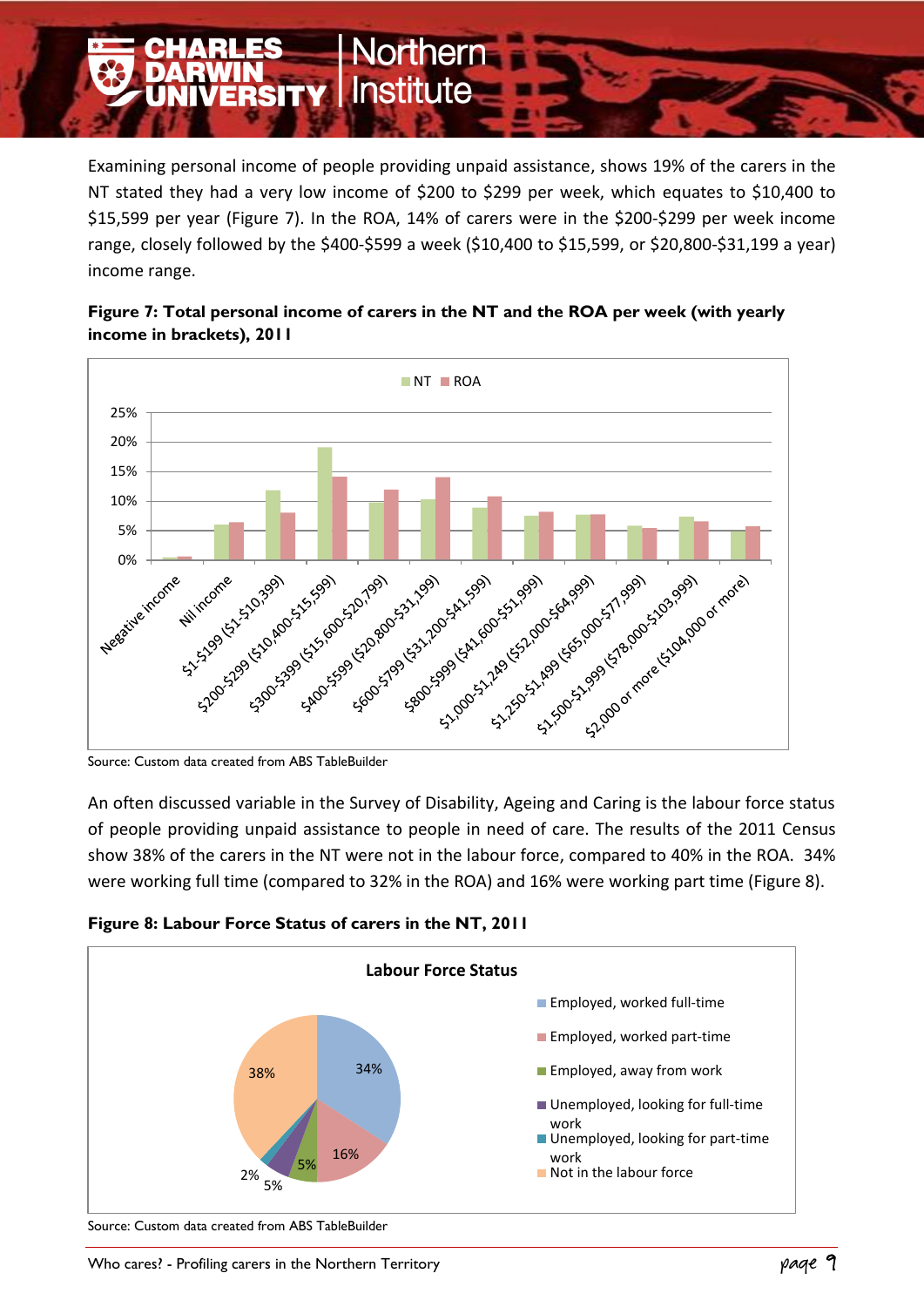Examining personal income of people providing unpaid assistance, shows 19% of the carers in the NT stated they had a very low income of \$200 to \$299 per week, which equates to \$10,400 to \$15,599 per year (Figure 7). In the ROA, 14% of carers were in the \$200-\$299 per week income range, closely followed by the \$400-\$599 a week (\$10,400 to \$15,599, or \$20,800-\$31,199 a year) income range.



**Jorthern** 

**ERSITY | Institute** 



Source: Custom data created from ABS TableBuilder

An often discussed variable in the Survey of Disability, Ageing and Caring is the labour force status of people providing unpaid assistance to people in need of care. The results of the 2011 Census show 38% of the carers in the NT were not in the labour force, compared to 40% in the ROA. 34% were working full time (compared to 32% in the ROA) and 16% were working part time (Figure 8).





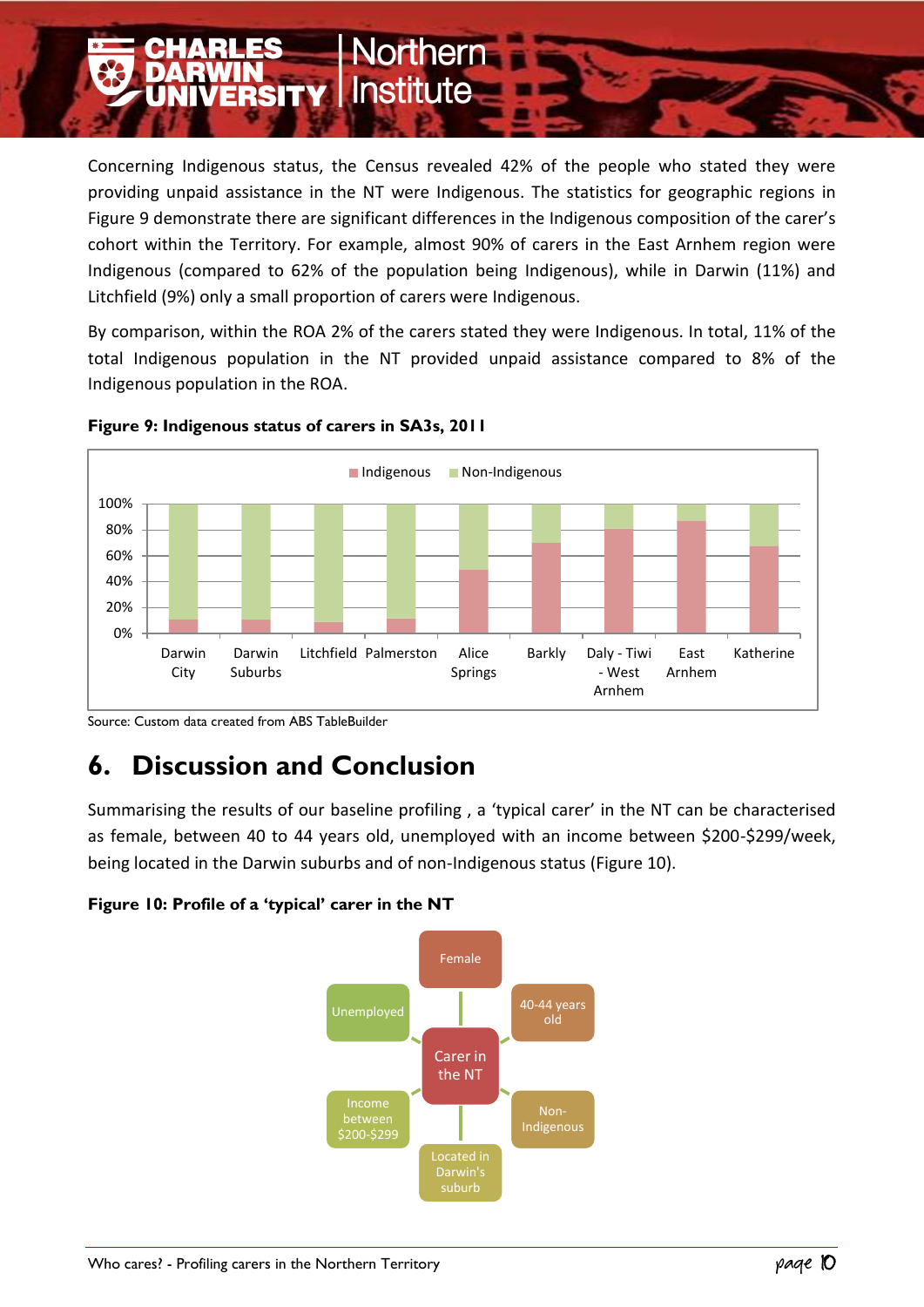Concerning Indigenous status, the Census revealed 42% of the people who stated they were providing unpaid assistance in the NT were Indigenous. The statistics for geographic regions in Figure 9 demonstrate there are significant differences in the Indigenous composition of the carer's cohort within the Territory. For example, almost 90% of carers in the East Arnhem region were Indigenous (compared to 62% of the population being Indigenous), while in Darwin (11%) and Litchfield (9%) only a small proportion of carers were Indigenous.

**lorthern** 

**ERSITY Institute** 

By comparison, within the ROA 2% of the carers stated they were Indigenous. In total, 11% of the total Indigenous population in the NT provided unpaid assistance compared to 8% of the Indigenous population in the ROA.



#### **Figure 9: Indigenous status of carers in SA3s, 2011**

# **6. Discussion and Conclusion**

Summarising the results of our baseline profiling , a 'typical carer' in the NT can be characterised as female, between 40 to 44 years old, unemployed with an income between \$200-\$299/week, being located in the Darwin suburbs and of non-Indigenous status (Figure 10).

#### **Figure 10: Profile of a 'typical' carer in the NT**



Source: Custom data created from ABS TableBuilder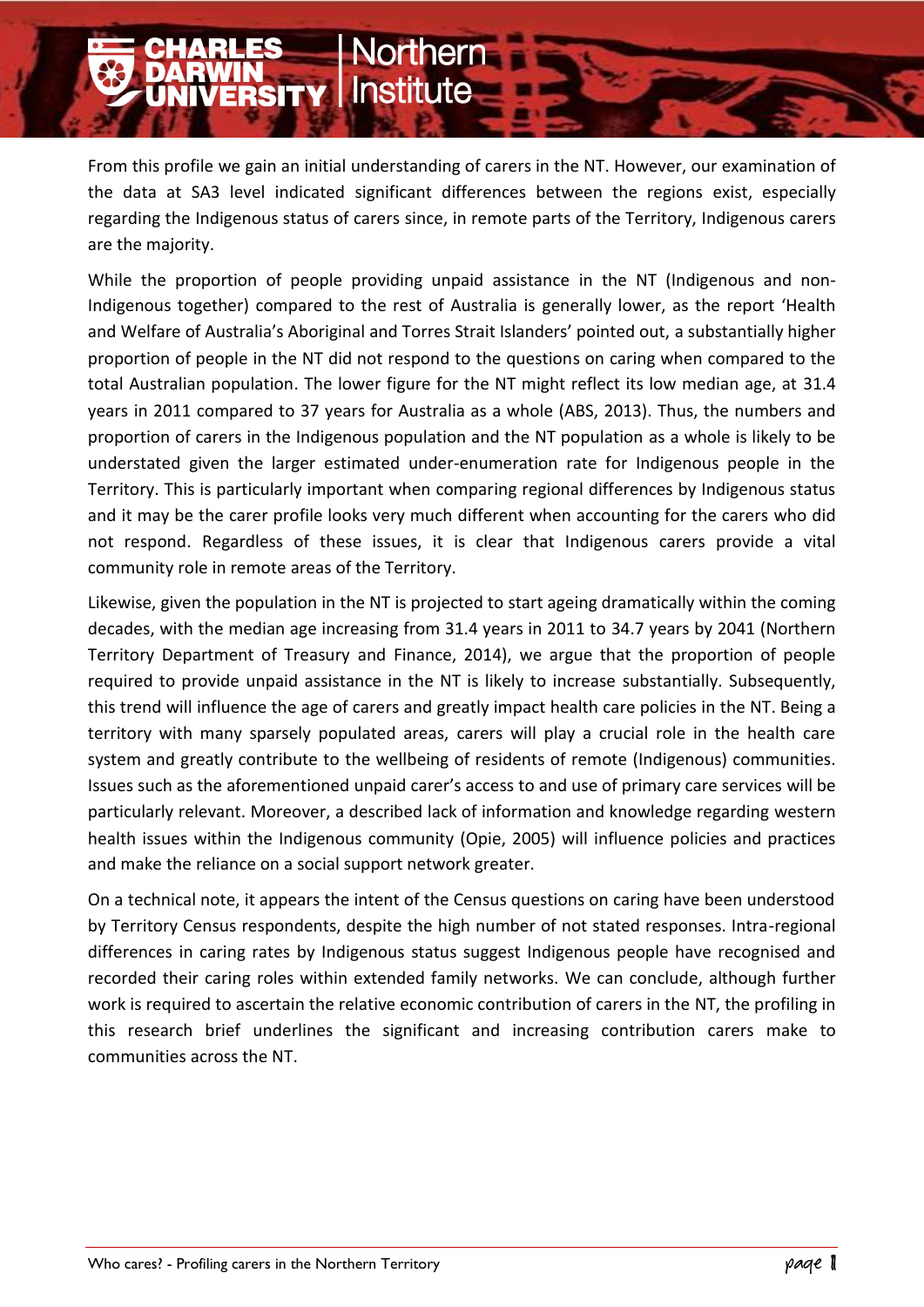From this profile we gain an initial understanding of carers in the NT. However, our examination of the data at SA3 level indicated significant differences between the regions exist, especially regarding the Indigenous status of carers since, in remote parts of the Territory, Indigenous carers are the majority.

lorthern

**NERSITY Institute** 

While the proportion of people providing unpaid assistance in the NT (Indigenous and non-Indigenous together) compared to the rest of Australia is generally lower, as the report 'Health and Welfare of Australia's Aboriginal and Torres Strait Islanders' pointed out, a substantially higher proportion of people in the NT did not respond to the questions on caring when compared to the total Australian population. The lower figure for the NT might reflect its low median age, at 31.4 years in 2011 compared to 37 years for Australia as a whole (ABS, 2013). Thus, the numbers and proportion of carers in the Indigenous population and the NT population as a whole is likely to be understated given the larger estimated under-enumeration rate for Indigenous people in the Territory. This is particularly important when comparing regional differences by Indigenous status and it may be the carer profile looks very much different when accounting for the carers who did not respond. Regardless of these issues, it is clear that Indigenous carers provide a vital community role in remote areas of the Territory.

Likewise, given the population in the NT is projected to start ageing dramatically within the coming decades, with the median age increasing from 31.4 years in 2011 to 34.7 years by 2041 (Northern Territory Department of Treasury and Finance, 2014), we argue that the proportion of people required to provide unpaid assistance in the NT is likely to increase substantially. Subsequently, this trend will influence the age of carers and greatly impact health care policies in the NT. Being a territory with many sparsely populated areas, carers will play a crucial role in the health care system and greatly contribute to the wellbeing of residents of remote (Indigenous) communities. Issues such as the aforementioned unpaid carer's access to and use of primary care services will be particularly relevant. Moreover, a described lack of information and knowledge regarding western health issues within the Indigenous community (Opie, 2005) will influence policies and practices and make the reliance on a social support network greater.

On a technical note, it appears the intent of the Census questions on caring have been understood by Territory Census respondents, despite the high number of not stated responses. Intra-regional differences in caring rates by Indigenous status suggest Indigenous people have recognised and recorded their caring roles within extended family networks. We can conclude, although further work is required to ascertain the relative economic contribution of carers in the NT, the profiling in this research brief underlines the significant and increasing contribution carers make to communities across the NT.